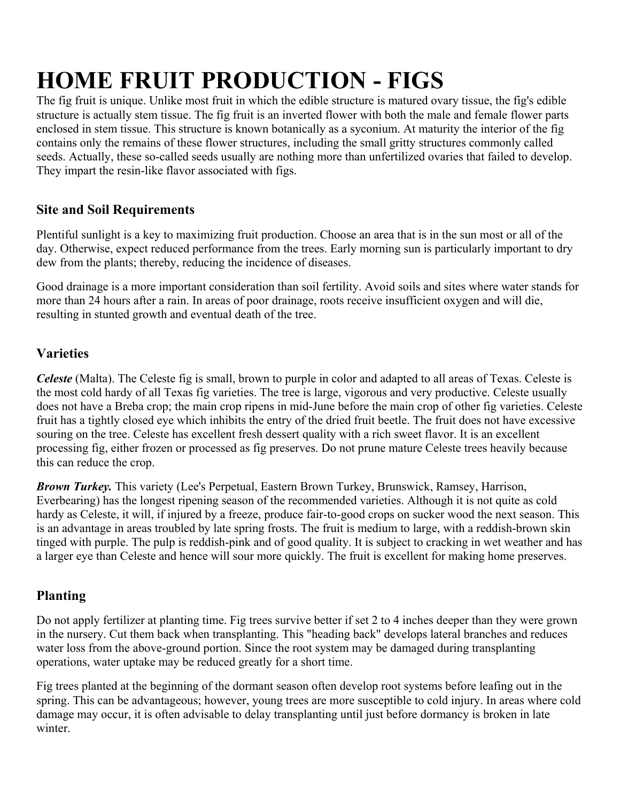# **HOME FRUIT PRODUCTION - FIGS**

The fig fruit is unique. Unlike most fruit in which the edible structure is matured ovary tissue, the fig's edible structure is actually stem tissue. The fig fruit is an inverted flower with both the male and female flower parts enclosed in stem tissue. This structure is known botanically as a syconium. At maturity the interior of the fig contains only the remains of these flower structures, including the small gritty structures commonly called seeds. Actually, these so-called seeds usually are nothing more than unfertilized ovaries that failed to develop. They impart the resin-like flavor associated with figs.

## **Site and Soil Requirements**

Plentiful sunlight is a key to maximizing fruit production. Choose an area that is in the sun most or all of the day. Otherwise, expect reduced performance from the trees. Early morning sun is particularly important to dry dew from the plants; thereby, reducing the incidence of diseases.

Good drainage is a more important consideration than soil fertility. Avoid soils and sites where water stands for more than 24 hours after a rain. In areas of poor drainage, roots receive insufficient oxygen and will die, resulting in stunted growth and eventual death of the tree.

## **Varieties**

*Celeste* (Malta). The Celeste fig is small, brown to purple in color and adapted to all areas of Texas. Celeste is the most cold hardy of all Texas fig varieties. The tree is large, vigorous and very productive. Celeste usually does not have a Breba crop; the main crop ripens in mid-June before the main crop of other fig varieties. Celeste fruit has a tightly closed eye which inhibits the entry of the dried fruit beetle. The fruit does not have excessive souring on the tree. Celeste has excellent fresh dessert quality with a rich sweet flavor. It is an excellent processing fig, either frozen or processed as fig preserves. Do not prune mature Celeste trees heavily because this can reduce the crop.

*Brown Turkey.* This variety (Lee's Perpetual, Eastern Brown Turkey, Brunswick, Ramsey, Harrison, Everbearing) has the longest ripening season of the recommended varieties. Although it is not quite as cold hardy as Celeste, it will, if injured by a freeze, produce fair-to-good crops on sucker wood the next season. This is an advantage in areas troubled by late spring frosts. The fruit is medium to large, with a reddish-brown skin tinged with purple. The pulp is reddish-pink and of good quality. It is subject to cracking in wet weather and has a larger eye than Celeste and hence will sour more quickly. The fruit is excellent for making home preserves.

# **Planting**

Do not apply fertilizer at planting time. Fig trees survive better if set 2 to 4 inches deeper than they were grown in the nursery. Cut them back when transplanting. This "heading back" develops lateral branches and reduces water loss from the above-ground portion. Since the root system may be damaged during transplanting operations, water uptake may be reduced greatly for a short time.

Fig trees planted at the beginning of the dormant season often develop root systems before leafing out in the spring. This can be advantageous; however, young trees are more susceptible to cold injury. In areas where cold damage may occur, it is often advisable to delay transplanting until just before dormancy is broken in late winter.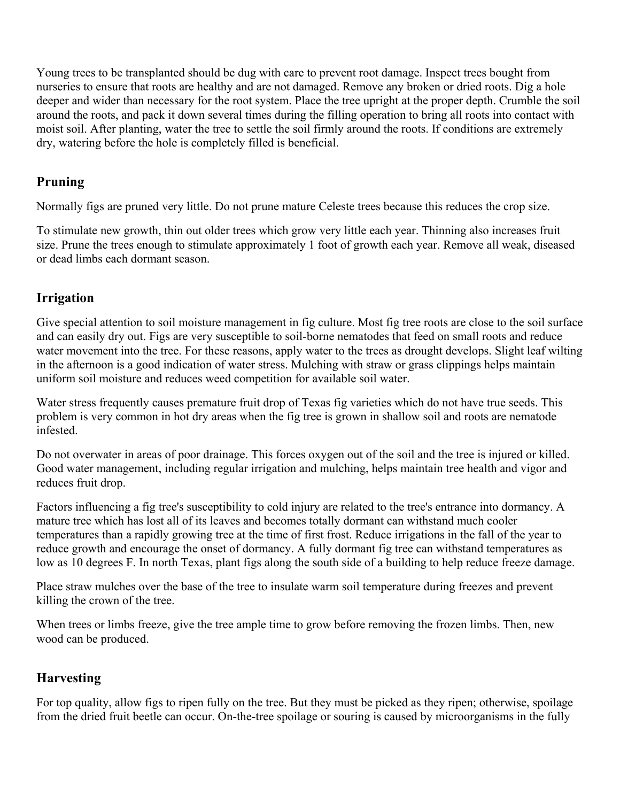Young trees to be transplanted should be dug with care to prevent root damage. Inspect trees bought from nurseries to ensure that roots are healthy and are not damaged. Remove any broken or dried roots. Dig a hole deeper and wider than necessary for the root system. Place the tree upright at the proper depth. Crumble the soil around the roots, and pack it down several times during the filling operation to bring all roots into contact with moist soil. After planting, water the tree to settle the soil firmly around the roots. If conditions are extremely dry, watering before the hole is completely filled is beneficial.

#### **Pruning**

Normally figs are pruned very little. Do not prune mature Celeste trees because this reduces the crop size.

To stimulate new growth, thin out older trees which grow very little each year. Thinning also increases fruit size. Prune the trees enough to stimulate approximately 1 foot of growth each year. Remove all weak, diseased or dead limbs each dormant season.

#### **Irrigation**

Give special attention to soil moisture management in fig culture. Most fig tree roots are close to the soil surface and can easily dry out. Figs are very susceptible to soil-borne nematodes that feed on small roots and reduce water movement into the tree. For these reasons, apply water to the trees as drought develops. Slight leaf wilting in the afternoon is a good indication of water stress. Mulching with straw or grass clippings helps maintain uniform soil moisture and reduces weed competition for available soil water.

Water stress frequently causes premature fruit drop of Texas fig varieties which do not have true seeds. This problem is very common in hot dry areas when the fig tree is grown in shallow soil and roots are nematode infested.

Do not overwater in areas of poor drainage. This forces oxygen out of the soil and the tree is injured or killed. Good water management, including regular irrigation and mulching, helps maintain tree health and vigor and reduces fruit drop.

Factors influencing a fig tree's susceptibility to cold injury are related to the tree's entrance into dormancy. A mature tree which has lost all of its leaves and becomes totally dormant can withstand much cooler temperatures than a rapidly growing tree at the time of first frost. Reduce irrigations in the fall of the year to reduce growth and encourage the onset of dormancy. A fully dormant fig tree can withstand temperatures as low as 10 degrees F. In north Texas, plant figs along the south side of a building to help reduce freeze damage.

Place straw mulches over the base of the tree to insulate warm soil temperature during freezes and prevent killing the crown of the tree.

When trees or limbs freeze, give the tree ample time to grow before removing the frozen limbs. Then, new wood can be produced.

## **Harvesting**

For top quality, allow figs to ripen fully on the tree. But they must be picked as they ripen; otherwise, spoilage from the dried fruit beetle can occur. On-the-tree spoilage or souring is caused by microorganisms in the fully